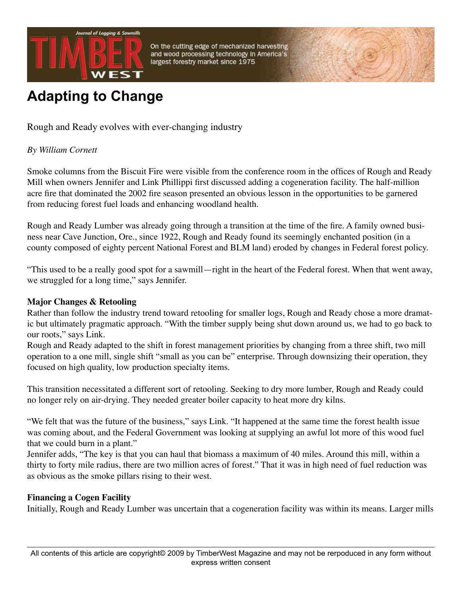

On the cutting edge of mechanized harvesting and wood processing technology in America's largest forestry market since 1975

# **Adapting to Change**

Rough and Ready evolves with ever-changing industry

## *By William Cornett*

Smoke columns from the Biscuit Fire were visible from the conference room in the offices of Rough and Ready Mill when owners Jennifer and Link Phillippi first discussed adding a cogeneration facility. The half-million acre fire that dominated the 2002 fire season presented an obvious lesson in the opportunities to be garnered from reducing forest fuel loads and enhancing woodland health.

Rough and Ready Lumber was already going through a transition at the time of the fire. A family owned business near Cave Junction, Ore., since 1922, Rough and Ready found its seemingly enchanted position (in a county composed of eighty percent National Forest and BLM land) eroded by changes in Federal forest policy.

"This used to be a really good spot for a sawmill—right in the heart of the Federal forest. When that went away, we struggled for a long time," says Jennifer.

## **Major Changes & Retooling**

Rather than follow the industry trend toward retooling for smaller logs, Rough and Ready chose a more dramatic but ultimately pragmatic approach. "With the timber supply being shut down around us, we had to go back to our roots," says Link.

Rough and Ready adapted to the shift in forest management priorities by changing from a three shift, two mill operation to a one mill, single shift "small as you can be" enterprise. Through downsizing their operation, they focused on high quality, low production specialty items.

This transition necessitated a different sort of retooling. Seeking to dry more lumber, Rough and Ready could no longer rely on air-drying. They needed greater boiler capacity to heat more dry kilns.

"We felt that was the future of the business," says Link. "It happened at the same time the forest health issue was coming about, and the Federal Government was looking at supplying an awful lot more of this wood fuel that we could burn in a plant."

Jennifer adds, "The key is that you can haul that biomass a maximum of 40 miles. Around this mill, within a thirty to forty mile radius, there are two million acres of forest." That it was in high need of fuel reduction was as obvious as the smoke pillars rising to their west.

## **Financing a Cogen Facility**

Initially, Rough and Ready Lumber was uncertain that a cogeneration facility was within its means. Larger mills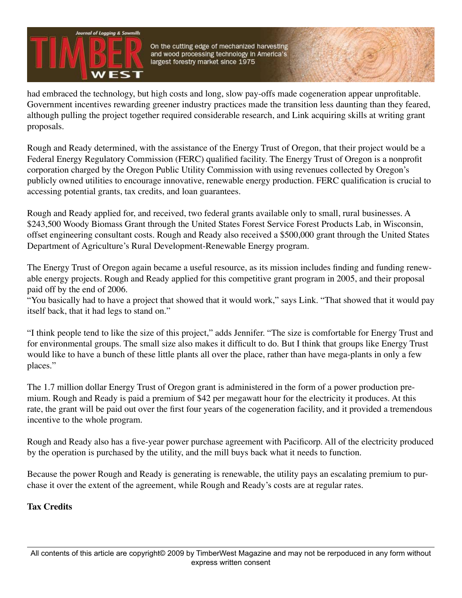

On the cutting edge of mechanized harvesting and wood processing technology in America's largest forestry market since 1975

had embraced the technology, but high costs and long, slow pay-offs made cogeneration appear unprofitable. Government incentives rewarding greener industry practices made the transition less daunting than they feared, although pulling the project together required considerable research, and Link acquiring skills at writing grant proposals.

Rough and Ready determined, with the assistance of the Energy Trust of Oregon, that their project would be a Federal Energy Regulatory Commission (FERC) qualified facility. The Energy Trust of Oregon is a nonprofit corporation charged by the Oregon Public Utility Commission with using revenues collected by Oregon's publicly owned utilities to encourage innovative, renewable energy production. FERC qualification is crucial to accessing potential grants, tax credits, and loan guarantees.

Rough and Ready applied for, and received, two federal grants available only to small, rural businesses. A \$243,500 Woody Biomass Grant through the United States Forest Service Forest Products Lab, in Wisconsin, offset engineering consultant costs. Rough and Ready also received a \$500,000 grant through the United States Department of Agriculture's Rural Development-Renewable Energy program.

The Energy Trust of Oregon again became a useful resource, as its mission includes finding and funding renewable energy projects. Rough and Ready applied for this competitive grant program in 2005, and their proposal paid off by the end of 2006.

"You basically had to have a project that showed that it would work," says Link. "That showed that it would pay itself back, that it had legs to stand on."

"I think people tend to like the size of this project," adds Jennifer. "The size is comfortable for Energy Trust and for environmental groups. The small size also makes it difficult to do. But I think that groups like Energy Trust would like to have a bunch of these little plants all over the place, rather than have mega-plants in only a few places."

The 1.7 million dollar Energy Trust of Oregon grant is administered in the form of a power production premium. Rough and Ready is paid a premium of \$42 per megawatt hour for the electricity it produces. At this rate, the grant will be paid out over the first four years of the cogeneration facility, and it provided a tremendous incentive to the whole program.

Rough and Ready also has a five-year power purchase agreement with Pacificorp. All of the electricity produced by the operation is purchased by the utility, and the mill buys back what it needs to function.

Because the power Rough and Ready is generating is renewable, the utility pays an escalating premium to purchase it over the extent of the agreement, while Rough and Ready's costs are at regular rates.

## **Tax Credits**